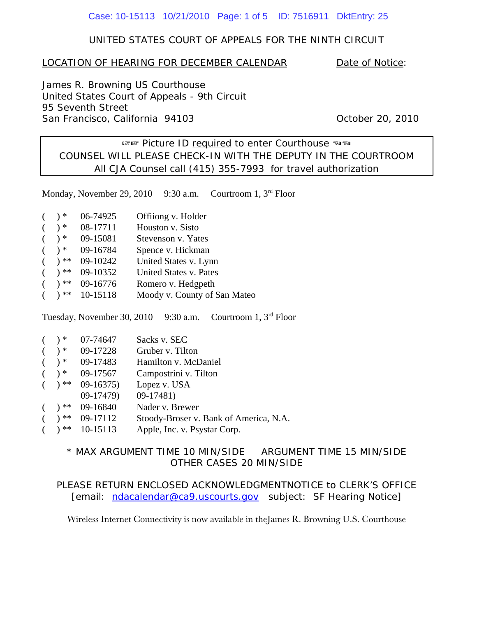#### Case: 10-15113 10/21/2010 Page: 1 of 5 ID: 7516911 DktEntry: 25

### UNITED STATES COURT OF APPEALS FOR THE NINTH CIRCUIT

#### LOCATION OF HEARING FOR DECEMBER CALENDAR Date of Notice:

James R. Browning US Courthouse United States Court of Appeals - 9th Circuit 95 Seventh Street San Francisco, California 94103 Charles Controller 20, 2010

 $E$  Picture ID required to enter Courthouse  $E$  and COUNSEL WILL PLEASE CHECK-IN WITH THE DEPUTY IN THE COURTROOM All CJA Counsel call (415) 355-7993 for travel authorization

Monday, November 29, 2010 9:30 a.m. Courtroom 1, 3<sup>rd</sup> Floor

| 06-74925 | Offiiong v. Holder |
|----------|--------------------|
|----------|--------------------|

| 08-17711<br>) * | Houston v. Sisto |  |
|-----------------|------------------|--|
|-----------------|------------------|--|

- $($   $)*$  09-15081 Stevenson v. Yates
- $(*)$  \* 09-16784 Spence v. Hickman
- $($   $)**$  09-10242 United States v. Lynn
- ) \*\* 09-10352 United States v. Pates
- $)**$  09-16776 Romero v. Hedgpeth
- ) \*\* 10-15118 Moody v. County of San Mateo

Tuesday, November 30, 2010 9:30 a.m. Courtroom 1, 3rd Floor

|  | $($ $)*$ 07-74647   | Sacks v. SEC                           |
|--|---------------------|----------------------------------------|
|  | $($ $)*$ 09-17228   | Gruber v. Tilton                       |
|  | $( )$ * 09-17483    | Hamilton v. McDaniel                   |
|  | $($ $)*$ 09-17567   | Campostrini v. Tilton                  |
|  | $($ $)**$ 09-16375) | Lopez v. USA                           |
|  | $09-17479$          | $09-17481$                             |
|  | $($ $)**$ 09-16840  | Nader v. Brewer                        |
|  | $($ $)**$ 09-17112  | Stoody-Broser v. Bank of America, N.A. |
|  | $( )$ ** 10-15113   | Apple, Inc. v. Psystar Corp.           |

## \* MAX ARGUMENT TIME 10 MIN/SIDE ARGUMENT TIME 15 MIN/SIDE OTHER CASES 20 MIN/SIDE

PLEASE RETURN ENCLOSED ACKNOWLEDGMENTNOTICE to CLERK'S OFFICE [email: ndacalendar@ca9.uscourts.gov subject: SF Hearing Notice]

Wireless Internet Connectivity is now available in theJames R. Browning U.S. Courthouse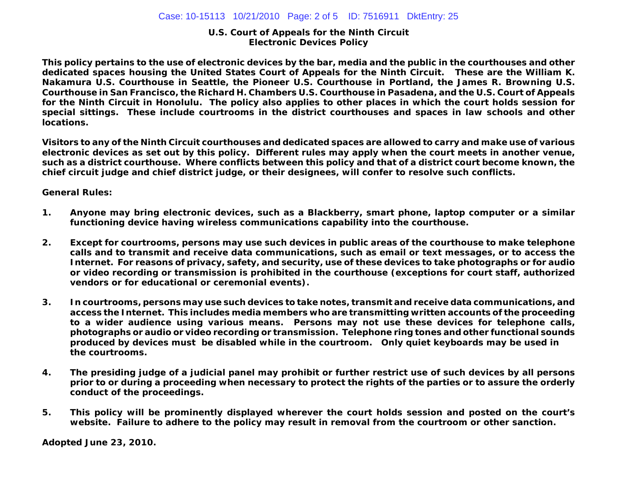#### **U.S. Court of Appeals for the Ninth Circuit Electronic Devices Policy**

**This policy pertains to the use of electronic devices by the bar, media and the public in the courthouses and other dedicated spaces housing the United States Court of Appeals for the Ninth Circuit. These are the William K. Nakamura U.S. Courthouse in Seattle, the Pioneer U.S. Courthouse in Portland, the James R. Browning U.S. Courthouse in San Francisco, the Richard H. Chambers U.S. Courthouse in Pasadena, and the U.S. Court of Appeals for the Ninth Circuit in Honolulu. The policy also applies to other places in which the court holds session for special sittings. These include courtrooms in the district courthouses and spaces in law schools and other locations.**

**Visitors to any of the Ninth Circuit courthouses and dedicated spaces are allowed to carry and make use of various electronic devices as set out by this policy. Different rules may apply when the court meets in another venue, such as a district courthouse. Where conflicts between this policy and that of a district court become known, the chief circuit judge and chief district judge, or their designees, will confer to resolve such conflicts.**

#### **General Rules:**

- **1. Anyone may bring electronic devices, such as a Blackberry, smart phone, laptop computer or a similar functioning device having wireless communications capability into the courthouse.**
- **2. Except for courtrooms, persons may use such devices in public areas of the courthouse to make telephone calls and to transmit and receive data communications, such as email or text messages, or to access the Internet. For reasons of privacy, safety, and security, use of these devices to take photographs or for audio or video recording or transmission is prohibited in the courthouse (exceptions for court staff, authorized vendors or for educational or ceremonial events).**
- **3. In courtrooms, persons may use such devices to take notes, transmit and receive data communications, and access the Internet. This includes media members who are transmitting written accounts of the proceeding to a wider audience using various means. Persons may not use these devices for telephone calls, photographs or audio or video recording or transmission. Telephone ring tones and other functional sounds produced by devices must be disabled while in the courtroom. Only quiet keyboards may be used in the courtrooms.**
- **4. The presiding judge of a judicial panel may prohibit or further restrict use of such devices by all persons prior to or during a proceeding when necessary to protect the rights of the parties or to assure the orderly conduct of the proceedings.**
- **5. This policy will be prominently displayed wherever the court holds session and posted on the court's website. Failure to adhere to the policy may result in removal from the courtroom or other sanction.**

**Adopted June 23, 2010.**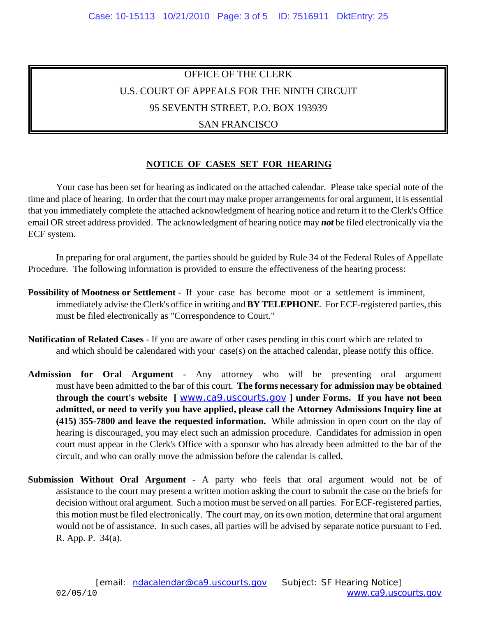# OFFICE OF THE CLERK U.S. COURT OF APPEALS FOR THE NINTH CIRCUIT 95 SEVENTH STREET, P.O. BOX 193939

## SAN FRANCISCO

## **NOTICE OF CASES SET FOR HEARING**

Your case has been set for hearing as indicated on the attached calendar. Please take special note of the time and place of hearing. In order that the court may make proper arrangements for oral argument, it is essential that you immediately complete the attached acknowledgment of hearing notice and return it to the Clerk's Office email OR street address provided. The acknowledgment of hearing notice may *not* be filed electronically via the ECF system.

In preparing for oral argument, the parties should be guided by Rule 34 of the Federal Rules of Appellate Procedure. The following information is provided to ensure the effectiveness of the hearing process:

- **Possibility of Mootness or Settlement** If your case has become moot or a settlement is imminent, immediately advise the Clerk's office in writing and **BY TELEPHONE**. For ECF-registered parties, this must be filed electronically as "Correspondence to Court."
- **Notification of Related Cases** If you are aware of other cases pending in this court which are related to and which should be calendared with your case(s) on the attached calendar, please notify this office.
- **Admission for Oral Argument** Any attorney who will be presenting oral argument must have been admitted to the bar of this court. **The forms necessary for admission may be obtained through the court's website [** www.ca9.uscourts.gov **] under Forms. If you have not been admitted, or need to verify you have applied, please call the Attorney Admissions Inquiry line at (415) 355-7800 and leave the requested information.** While admission in open court on the day of hearing is discouraged, you may elect such an admission procedure. Candidates for admission in open court must appear in the Clerk's Office with a sponsor who has already been admitted to the bar of the circuit, and who can orally move the admission before the calendar is called.
- **Submission Without Oral Argument** A party who feels that oral argument would not be of assistance to the court may present a written motion asking the court to submit the case on the briefs for decision without oral argument. Such a motion must be served on all parties. For ECF-registered parties, this motion must be filed electronically. The court may, on its own motion, determine that oral argument would not be of assistance. In such cases, all parties will be advised by separate notice pursuant to Fed. R. App. P. 34(a).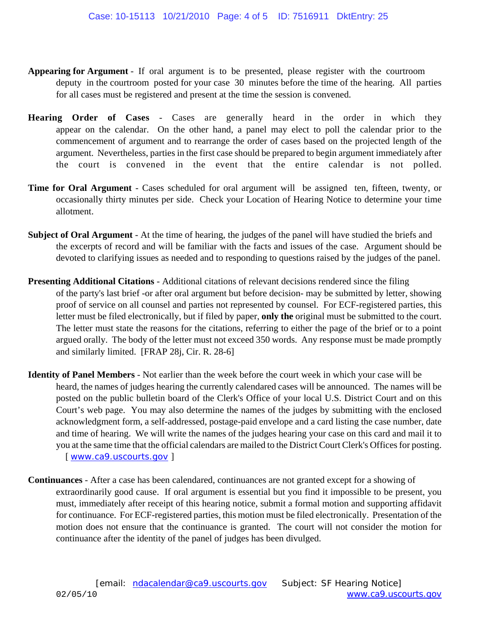- **Appearing for Argument** If oral argument is to be presented, please register with the courtroom deputy in the courtroom posted for your case 30 minutes before the time of the hearing. All parties for all cases must be registered and present at the time the session is convened.
- **Hearing Order of Cases** Cases are generally heard in the order in which they appear on the calendar. On the other hand, a panel may elect to poll the calendar prior to the commencement of argument and to rearrange the order of cases based on the projected length of the argument. Nevertheless, parties in the first case should be prepared to begin argument immediately after the court is convened in the event that the entire calendar is not polled.
- **Time for Oral Argument** Cases scheduled for oral argument will be assigned ten, fifteen, twenty, or occasionally thirty minutes per side. Check your Location of Hearing Notice to determine your time allotment.
- **Subject of Oral Argument** At the time of hearing, the judges of the panel will have studied the briefs and the excerpts of record and will be familiar with the facts and issues of the case. Argument should be devoted to clarifying issues as needed and to responding to questions raised by the judges of the panel.
- **Presenting Additional Citations** Additional citations of relevant decisions rendered since the filing of the party's last brief -or after oral argument but before decision- may be submitted by letter, showing proof of service on all counsel and parties not represented by counsel. For ECF-registered parties, this letter must be filed electronically, but if filed by paper, **only the** original must be submitted to the court. The letter must state the reasons for the citations, referring to either the page of the brief or to a point argued orally. The body of the letter must not exceed 350 words. Any response must be made promptly and similarly limited. [FRAP 28j, Cir. R. 28-6]
- **Identity of Panel Members** Not earlier than the week before the court week in which your case will be heard, the names of judges hearing the currently calendared cases will be announced. The names will be posted on the public bulletin board of the Clerk's Office of your local U.S. District Court and on this Court's web page. You may also determine the names of the judges by submitting with the enclosed acknowledgment form, a self-addressed, postage-paid envelope and a card listing the case number, date and time of hearing. We will write the names of the judges hearing your case on this card and mail it to you at the same time that the official calendars are mailed to the District Court Clerk's Offices for posting. [ www.ca9.uscourts.gov ]
- **Continuances** After a case has been calendared, continuances are not granted except for a showing of extraordinarily good cause. If oral argument is essential but you find it impossible to be present, you must, immediately after receipt of this hearing notice, submit a formal motion and supporting affidavit for continuance. For ECF-registered parties, this motion must be filed electronically. Presentation of the motion does not ensure that the continuance is granted. The court will not consider the motion for continuance after the identity of the panel of judges has been divulged.